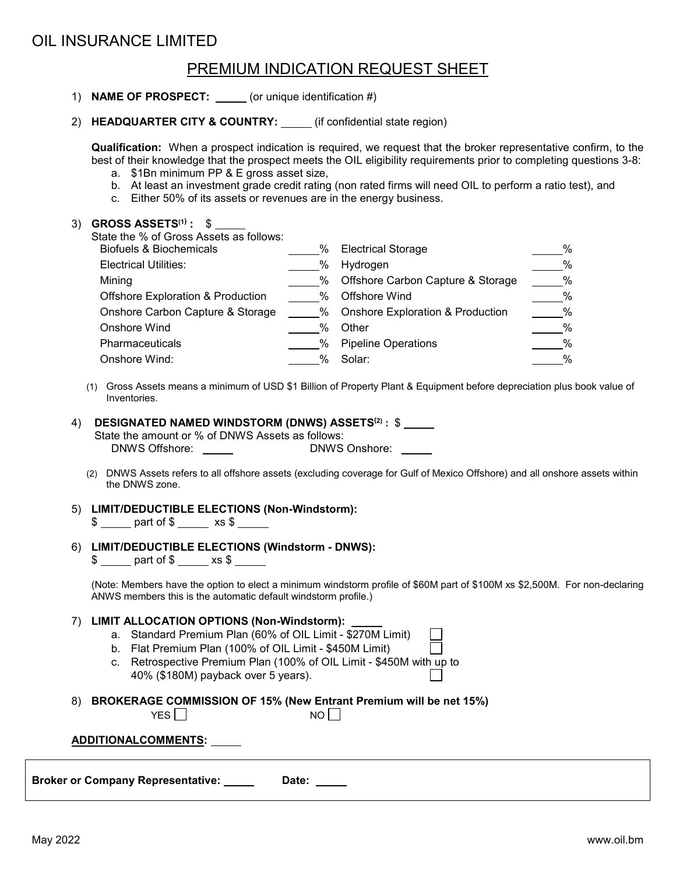## OIL INSURANCE LIMITED

## PREMIUM INDICATION REQUEST SHEET

|                                                                                                                                                                                                                                                                                                                       | <u>IN EMIDINI INDION IN THE QUEDI UITEE I</u>                                                                                                                                                                                                                                                                                                                                                                                                                                    |                                |                                                                                                                                                                                        |                                                                                 |  |
|-----------------------------------------------------------------------------------------------------------------------------------------------------------------------------------------------------------------------------------------------------------------------------------------------------------------------|----------------------------------------------------------------------------------------------------------------------------------------------------------------------------------------------------------------------------------------------------------------------------------------------------------------------------------------------------------------------------------------------------------------------------------------------------------------------------------|--------------------------------|----------------------------------------------------------------------------------------------------------------------------------------------------------------------------------------|---------------------------------------------------------------------------------|--|
|                                                                                                                                                                                                                                                                                                                       | 1) NAME OF PROSPECT: ______ (or unique identification #)                                                                                                                                                                                                                                                                                                                                                                                                                         |                                |                                                                                                                                                                                        |                                                                                 |  |
|                                                                                                                                                                                                                                                                                                                       | 2) HEADQUARTER CITY & COUNTRY: _____ (if confidential state region)                                                                                                                                                                                                                                                                                                                                                                                                              |                                |                                                                                                                                                                                        |                                                                                 |  |
|                                                                                                                                                                                                                                                                                                                       | <b>Qualification:</b> When a prospect indication is required, we request that the broker representative confirm, to the<br>best of their knowledge that the prospect meets the OIL eligibility requirements prior to completing questions 3-8:<br>a. \$1Bn minimum PP & E gross asset size,<br>b. At least an investment grade credit rating (non rated firms will need OIL to perform a ratio test), and<br>c. Either 50% of its assets or revenues are in the energy business. |                                |                                                                                                                                                                                        |                                                                                 |  |
|                                                                                                                                                                                                                                                                                                                       | 3) GROSS ASSETS $(1)$ : \$<br>State the % of Gross Assets as follows:<br><b>Biofuels &amp; Biochemicals</b><br><b>Electrical Utilities:</b><br>Mining<br><b>Offshore Exploration &amp; Production</b><br>Onshore Carbon Capture & Storage<br><b>Onshore Wind</b><br>Pharmaceuticals<br>Onshore Wind:                                                                                                                                                                             | <sup>%</sup> Other<br>% Solar: | ____% Electrical Storage<br>_____% Hydrogen<br>_____% Offshore Carbon Capture & Storage<br>_____% Offshore Wind<br>_____% Onshore Exploration & Production<br>1998 Pipeline Operations | $\%$<br>$\frac{9}{6}$<br>$\frac{9}{6}$<br>$\frac{9}{6}$<br>$\%$<br>$\%$<br>$\%$ |  |
| Gross Assets means a minimum of USD \$1 Billion of Property Plant & Equipment before depreciation plus book value of<br>(1)<br>Inventories.<br><b>DESIGNATED NAMED WINDSTORM (DNWS) ASSETS<sup>(2)</sup>: \$</b><br>4)<br>State the amount or % of DNWS Assets as follows:<br>DNWS Offshore: _____<br>DNWS Onshore: _ |                                                                                                                                                                                                                                                                                                                                                                                                                                                                                  |                                |                                                                                                                                                                                        |                                                                                 |  |
| (2) DNWS Assets refers to all offshore assets (excluding coverage for Gulf of Mexico Offshore) and all onshore assets within<br>the DNWS zone.                                                                                                                                                                        |                                                                                                                                                                                                                                                                                                                                                                                                                                                                                  |                                |                                                                                                                                                                                        |                                                                                 |  |
|                                                                                                                                                                                                                                                                                                                       | 5) LIMIT/DEDUCTIBLE ELECTIONS (Non-Windstorm):<br>\$ _____ part of \$ _____ xs \$ _____                                                                                                                                                                                                                                                                                                                                                                                          |                                |                                                                                                                                                                                        |                                                                                 |  |
| 6) LIMIT/DEDUCTIBLE ELECTIONS (Windstorm - DNWS):<br>$\frac{1}{2}$ part of $\frac{1}{2}$ xs $\frac{1}{2}$                                                                                                                                                                                                             |                                                                                                                                                                                                                                                                                                                                                                                                                                                                                  |                                |                                                                                                                                                                                        |                                                                                 |  |
| (Note: Members have the option to elect a minimum windstorm profile of \$60M part of \$100M xs \$2,500M. For non-declaring<br>ANWS members this is the automatic default windstorm profile.)                                                                                                                          |                                                                                                                                                                                                                                                                                                                                                                                                                                                                                  |                                |                                                                                                                                                                                        |                                                                                 |  |
| 7                                                                                                                                                                                                                                                                                                                     | <b>LIMIT ALLOCATION OPTIONS (Non-Windstorm):</b><br>a. Standard Premium Plan (60% of OIL Limit - \$270M Limit)<br>Flat Premium Plan (100% of OIL Limit - \$450M Limit)<br>b.<br>Retrospective Premium Plan (100% of OIL Limit - \$450M with up to<br>C.<br>40% (\$180M) payback over 5 years).                                                                                                                                                                                   |                                |                                                                                                                                                                                        |                                                                                 |  |
| BROKERAGE COMMISSION OF 15% (New Entrant Premium will be net 15%)<br>8)<br>YES $\Box$<br>$NO$                                                                                                                                                                                                                         |                                                                                                                                                                                                                                                                                                                                                                                                                                                                                  |                                |                                                                                                                                                                                        |                                                                                 |  |
| <b>ADDITIONALCOMMENTS:</b>                                                                                                                                                                                                                                                                                            |                                                                                                                                                                                                                                                                                                                                                                                                                                                                                  |                                |                                                                                                                                                                                        |                                                                                 |  |

**Broker or Company Representative: \_\_\_\_\_ Date: \_\_\_\_**